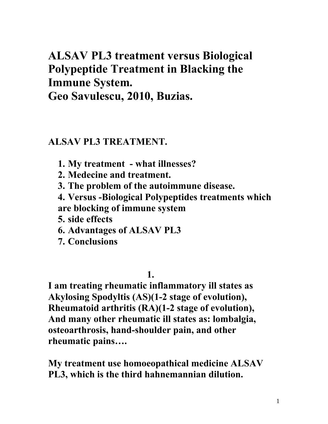# **ALSAV PL3 treatment versus Biological Polypeptide Treatment in Blacking the Immune System.**

**Geo Savulescu, 2010, Buzias.** 

### **ALSAV PL3 TREATMENT.**

- **1. My treatment what illnesses?**
- **2. Medecine and treatment.**
- **3. The problem of the autoimmune disease.**
- **4. Versus -Biological Polypeptides treatments which are blocking of immune system**
- **5. side effects**
- **6. Advantages of ALSAV PL3**
- **7. Conclusions**

#### **1. 1.**

**I am treating rheumatic inflammatory ill states as Akylosing Spodyltis (AS)(1-2 stage of evolution), Rheumatoid arthritis (RA)(1-2 stage of evolution), And many other rheumatic ill states as: lombalgia, osteoarthrosis, hand-shoulder pain, and other rheumatic pains….** 

**My treatment use homoeopathical medicine ALSAV PL3, which is the third hahnemannian dilution.**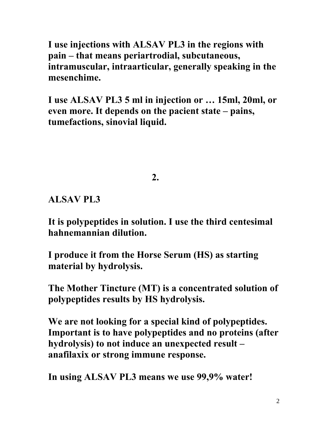**I use injections with ALSAV PL3 in the regions with pain – that means periartrodial, subcutaneous, intramuscular, intraarticular, generally speaking in the mesenchime.** 

**I use ALSAV PL3 5 ml in injection or … 15ml, 20ml, or even more. It depends on the pacient state – pains, tumefactions, sinovial liquid.** 

 $\sim$  2.

**ALSAV PL3** 

**It is polypeptides in solution. I use the third centesimal hahnemannian dilution.** 

**I produce it from the Horse Serum (HS) as starting material by hydrolysis.** 

**The Mother Tincture (MT) is a concentrated solution of polypeptides results by HS hydrolysis.** 

**We are not looking for a special kind of polypeptides. Important is to have polypeptides and no proteins (after hydrolysis) to not induce an unexpected result – anafilaxix or strong immune response.** 

**In using ALSAV PL3 means we use 99,9% water!**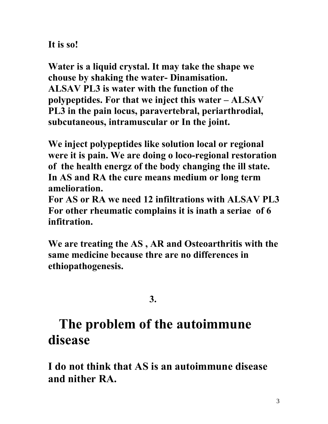**It is so!** 

**Water is a liquid crystal. It may take the shape we chouse by shaking the water- Dinamisation. ALSAV PL3 is water with the function of the polypeptides. For that we inject this water – ALSAV PL3 in the pain locus, paravertebral, periarthrodial, subcutaneous, intramuscular or In the joint.** 

**We inject polypeptides like solution local or regional were it is pain. We are doing o loco-regional restoration of the health energz of the body changing the ill state. In AS and RA the cure means medium or long term amelioration.** 

**For AS or RA we need 12 infiltrations with ALSAV PL3 For other rheumatic complains it is inath a seriae of 6 infitration.** 

**We are treating the AS , AR and Osteoarthritis with the same medicine because thre are no differences in ethiopathogenesis.** 

**3. 3.** 

# **The problem of the autoimmune disease**

**I do not think that AS is an autoimmune disease and nither RA.**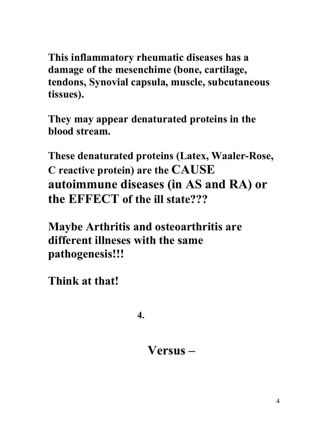**This inflammatory rheumatic diseases has a damage of the mesenchime (bone, cartilage, tendons, Synovial capsula, muscle, subcutaneous tissues).** 

**They may appear denaturated proteins in the blood stream.** 

**These denaturated proteins (Latex, Waaler-Rose, C reactive protein) are the CAUSE autoimmune diseases (in AS and RA) or the EFFECT of the ill state???** 

**Maybe Arthritis and osteoarthritis are different illneses with the same pathogenesis!!!** 

**Think at that!** 

**4. 4.** 

 **Versus –**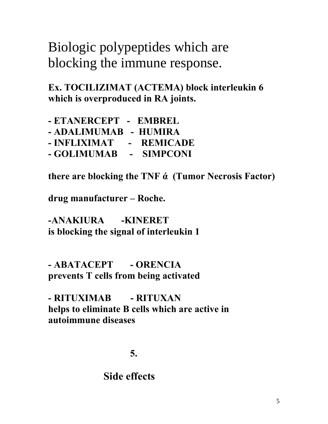Biologic polypeptides which are blocking the immune response.

**Ex. TOCILIZIMAT (ACTEMA) block interleukin 6 which is overproduced in RA joints.** 

| - ETANERCEPT - EMBREL          |            |
|--------------------------------|------------|
| - ADALIMUMAB - HUMIRA          |            |
| - INFLIXIMAT                   | - REMICADE |
| - GOLIMUMAB      -    SIMPCONI |            |

**there are blocking the TNF ά (Tumor Necrosis Factor)** 

**drug manufacturer – Roche.** 

**-ANAKIURA -KINERET is blocking the signal of interleukin 1** 

**- ABATACEPT - ORENCIA prevents T cells from being activated** 

**- RITUXIMAB - RITUXAN helps to eliminate B cells which are active in autoimmune diseases** 

**5. 5.** 

# **Side effects**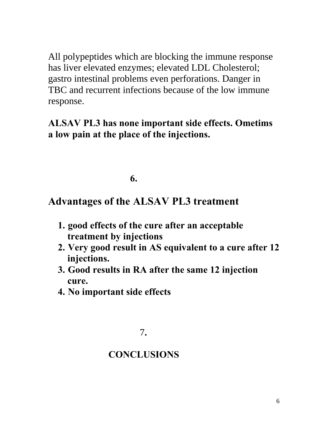All polypeptides which are blocking the immune response has liver elevated enzymes; elevated LDL Cholesterol; gastro intestinal problems even perforations. Danger in TBC and recurrent infections because of the low immune response.

## **ALSAV PL3 has none important side effects. Ometims a low pain at the place of the injections.**

### **6.**  $\overline{\phantom{a}}$

# **Advantages of the ALSAV PL3 treatment**

- **1. good effects of the cure after an acceptable treatment by injections**
- **2. Very good result in AS equivalent to a cure after 12 injections.**
- **3. Good results in RA after the same 12 injection cure.**
- **4. No important side effects**

## **CONCLUSIONS**

 <sup>7</sup>**.**